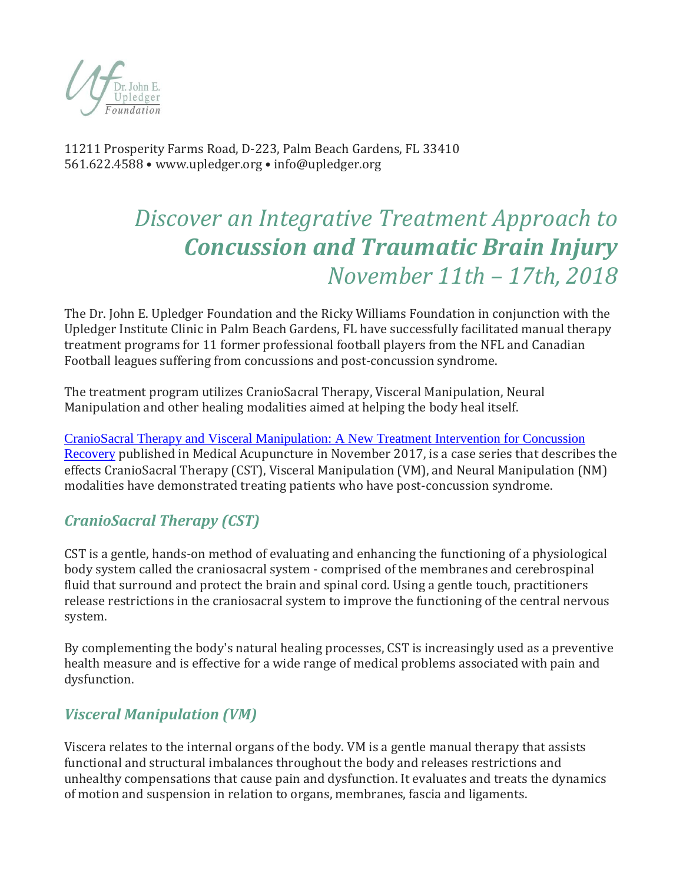

11211 Prosperity Farms Road, D-223, Palm Beach Gardens, FL 33410 561.622.4588 • www.upledger.org • info@upledger.org

# *Discover an Integrative Treatment Approach to Concussion and Traumatic Brain Injury November 11th – 17th, 2018*

The Dr. John E. Upledger Foundation and the Ricky Williams Foundation in conjunction with the Upledger Institute Clinic in Palm Beach Gardens, FL have successfully facilitated manual therapy treatment programs for 11 former professional football players from the NFL and Canadian Football leagues suffering from concussions and post-concussion syndrome.

The treatment program utilizes CranioSacral Therapy, Visceral Manipulation, Neural Manipulation and other healing modalities aimed at helping the body heal itself.

[CranioSacral Therapy and Visceral Manipulation: A New Treatment Intervention for Concussion](https://www.iahe.com/docs/articles/acu.2017.1222.pdf)  [Recovery](https://www.iahe.com/docs/articles/acu.2017.1222.pdf) published in Medical Acupuncture in November 2017, is a case series that describes the effects CranioSacral Therapy (CST), Visceral Manipulation (VM), and Neural Manipulation (NM) modalities have demonstrated treating patients who have post-concussion syndrome.

# *CranioSacral Therapy (CST)*

CST is a gentle, hands-on method of evaluating and enhancing the functioning of a physiological body system called the craniosacral system - comprised of the membranes and cerebrospinal fluid that surround and protect the brain and spinal cord. Using a gentle touch, practitioners release restrictions in the craniosacral system to improve the functioning of the central nervous system.

By complementing the body's natural healing processes, CST is increasingly used as a preventive health measure and is effective for a wide range of medical problems associated with pain and dysfunction.

# *Visceral Manipulation (VM)*

Viscera relates to the internal organs of the body. VM is a gentle manual therapy that assists functional and structural imbalances throughout the body and releases restrictions and unhealthy compensations that cause pain and dysfunction. It evaluates and treats the dynamics of motion and suspension in relation to organs, membranes, fascia and ligaments.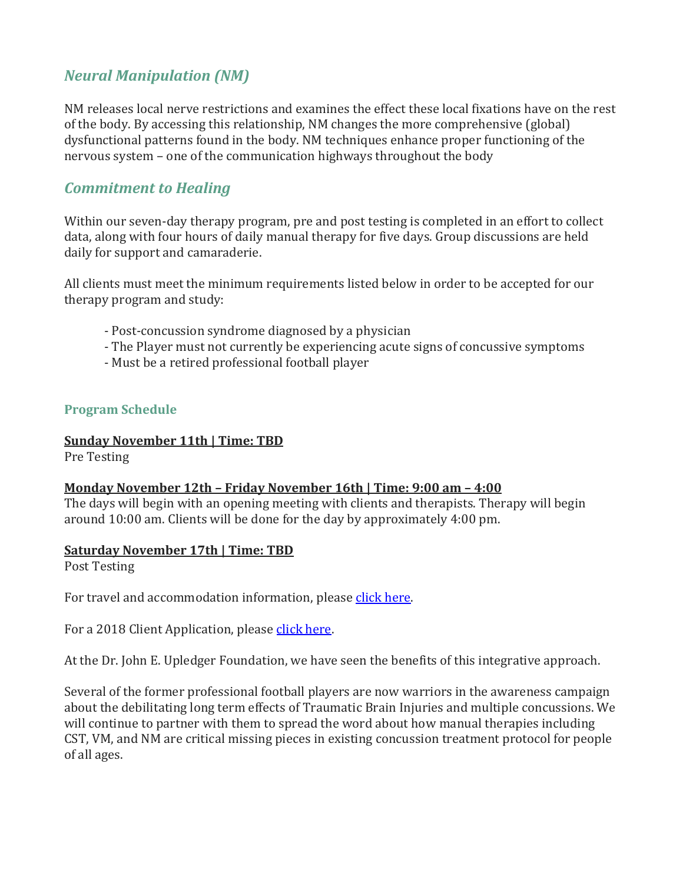## *Neural Manipulation (NM)*

NM releases local nerve restrictions and examines the effect these local fixations have on the rest of the body. By accessing this relationship, NM changes the more comprehensive (global) dysfunctional patterns found in the body. NM techniques enhance proper functioning of the nervous system – one of the communication highways throughout the body

### *Commitment to Healing*

Within our seven-day therapy program, pre and post testing is completed in an effort to collect data, along with four hours of daily manual therapy for five days. Group discussions are held daily for support and camaraderie.

All clients must meet the minimum requirements listed below in order to be accepted for our therapy program and study:

- Post-concussion syndrome diagnosed by a physician
- The Player must not currently be experiencing acute signs of concussive symptoms
- Must be a retired professional football player

#### **Program Schedule**

#### **Sunday November 11th | Time: TBD**

Pre Testing

#### **Monday November 12th – Friday November 16th | Time: 9:00 am – 4:00**

The days will begin with an opening meeting with clients and therapists. Therapy will begin around 10:00 am. Clients will be done for the day by approximately 4:00 pm.

#### **Saturday November 17th | Time: TBD**

Post Testing

For travel and accommodation information, please [click here.](http://www.upledgerclinic.com/docs/Travel-and-Accomodations-to-Upledger-Clinic.pdf) 

For a 2018 Client Application, please [click](http://www.upledger.org/docs/IPC-Client-Application.pdf) here.

At the Dr. John E. Upledger Foundation, we have seen the benefits of this integrative approach.

Several of the former professional football players are now warriors in the awareness campaign about the debilitating long term effects of Traumatic Brain Injuries and multiple concussions. We will continue to partner with them to spread the word about how manual therapies including CST, VM, and NM are critical missing pieces in existing concussion treatment protocol for people of all ages.